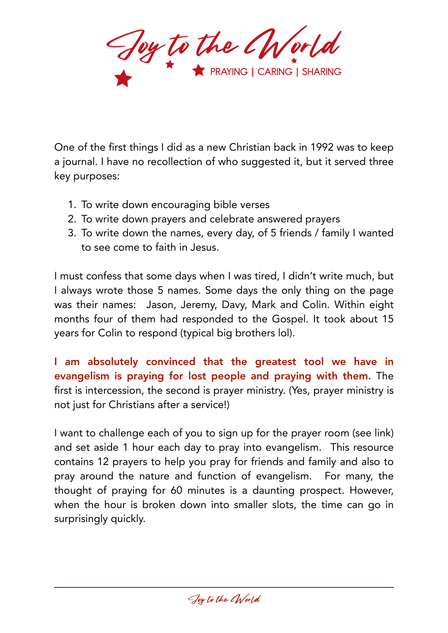Foy to the Chrorld

One of the first things I did as a new Christian back in 1992 was to keep a journal. I have no recollection of who suggested it, but it served three key purposes:

- 1. To write down encouraging bible verses
- 2. To write down prayers and celebrate answered prayers
- 3. To write down the names, every day, of 5 friends / family I wanted to see come to faith in Jesus.

I must confess that some days when I was tired, I didn't write much, but I always wrote those 5 names. Some days the only thing on the page was their names: Jason, Jeremy, Davy, Mark and Colin. Within eight months four of them had responded to the Gospel. It took about 15 years for Colin to respond (typical big brothers lol).

I am absolutely convinced that the greatest tool we have in evangelism is praying for lost people and praying with them. The first is intercession, the second is prayer ministry. (Yes, prayer ministry is not just for Christians after a service!)

I want to challenge each of you to sign up for the prayer room (see link) and set aside 1 hour each day to pray into evangelism. This resource contains 12 prayers to help you pray for friends and family and also to pray around the nature and function of evangelism. For many, the thought of praying for 60 minutes is a daunting prospect. However, when the hour is broken down into smaller slots, the time can go in surprisingly quickly.

Joy to the CWorld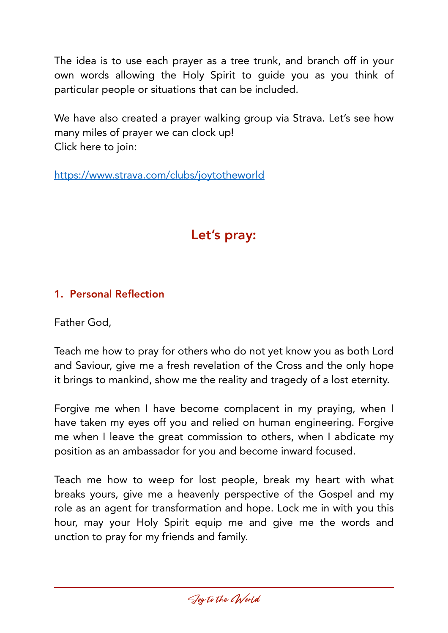The idea is to use each prayer as a tree trunk, and branch off in your own words allowing the Holy Spirit to guide you as you think of particular people or situations that can be included.

We have also created a prayer walking group via Strava. Let's see how many miles of prayer we can clock up! Click here to join:

<https://www.strava.com/clubs/joytotheworld>

# Let's pray:

# 1. Personal Reflection

Father God,

Teach me how to pray for others who do not yet know you as both Lord and Saviour, give me a fresh revelation of the Cross and the only hope it brings to mankind, show me the reality and tragedy of a lost eternity.

Forgive me when I have become complacent in my praying, when I have taken my eyes off you and relied on human engineering. Forgive me when I leave the great commission to others, when I abdicate my position as an ambassador for you and become inward focused.

Teach me how to weep for lost people, break my heart with what breaks yours, give me a heavenly perspective of the Gospel and my role as an agent for transformation and hope. Lock me in with you this hour, may your Holy Spirit equip me and give me the words and unction to pray for my friends and family.

Joy to the CWorld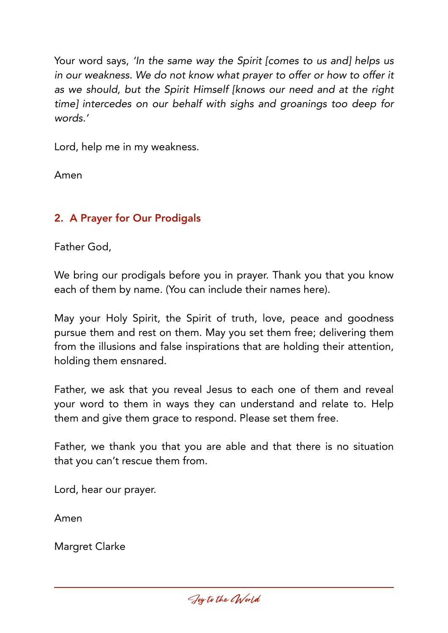Your word says, *'In the same way the Spirit [comes to us and] helps us in our weakness. We do not know what prayer to offer or how to offer it as we should, but the Spirit Himself [knows our need and at the right time] intercedes on our behalf with sighs and groanings too deep for words.'*

Lord, help me in my weakness.

Amen

# 2. A Prayer for Our Prodigals

Father God,

We bring our prodigals before you in prayer. Thank you that you know each of them by name. (You can include their names here).

May your Holy Spirit, the Spirit of truth, love, peace and goodness pursue them and rest on them. May you set them free; delivering them from the illusions and false inspirations that are holding their attention, holding them ensnared.

Father, we ask that you reveal Jesus to each one of them and reveal your word to them in ways they can understand and relate to. Help them and give them grace to respond. Please set them free.

Father, we thank you that you are able and that there is no situation that you can't rescue them from.

Lord, hear our prayer.

Amen

Margret Clarke

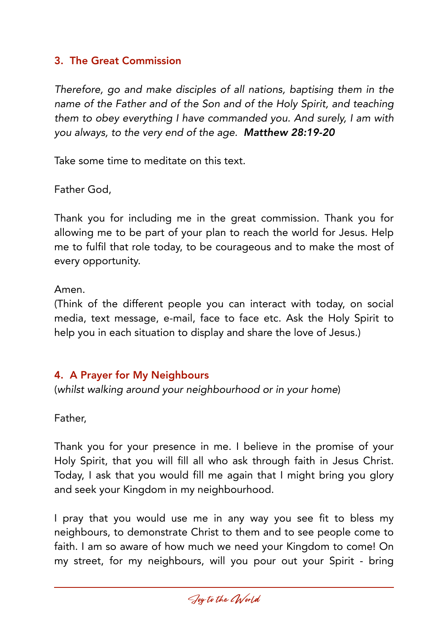#### 3. The Great Commission

*Therefore, go and make disciples of all nations, baptising them in the name of the Father and of the Son and of the Holy Spirit, and teaching them to obey everything I have commanded you. And surely, I am with you always, to the very end of the age. Matthew 28:19-20* 

Take some time to meditate on this text.

Father God,

Thank you for including me in the great commission. Thank you for allowing me to be part of your plan to reach the world for Jesus. Help me to fulfil that role today, to be courageous and to make the most of every opportunity.

Amen.

(Think of the different people you can interact with today, on social media, text message, e-mail, face to face etc. Ask the Holy Spirit to help you in each situation to display and share the love of Jesus.)

#### 4. A Prayer for My Neighbours

(*whilst walking around your neighbourhood or in your home*)

Father,

Thank you for your presence in me. I believe in the promise of your Holy Spirit, that you will fill all who ask through faith in Jesus Christ. Today, I ask that you would fill me again that I might bring you glory and seek your Kingdom in my neighbourhood.

I pray that you would use me in any way you see fit to bless my neighbours, to demonstrate Christ to them and to see people come to faith. I am so aware of how much we need your Kingdom to come! On my street, for my neighbours, will you pour out your Spirit - bring

Joy to the CWorld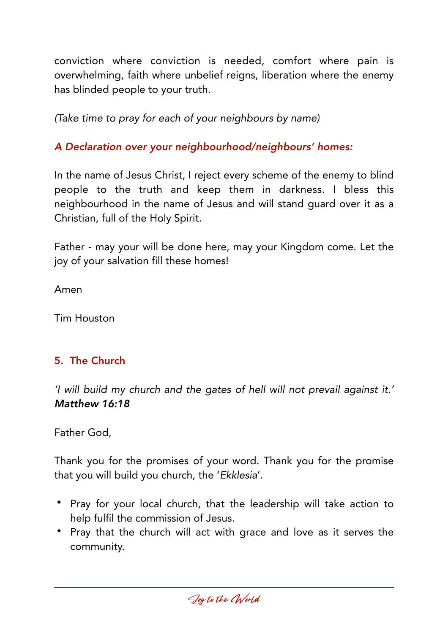conviction where conviction is needed, comfort where pain is overwhelming, faith where unbelief reigns, liberation where the enemy has blinded people to your truth.

*(Take time to pray for each of your neighbours by name)*

# *A Declaration over your neighbourhood/neighbours' homes:*

In the name of Jesus Christ, I reject every scheme of the enemy to blind people to the truth and keep them in darkness. I bless this neighbourhood in the name of Jesus and will stand guard over it as a Christian, full of the Holy Spirit.

Father - may your will be done here, may your Kingdom come. Let the joy of your salvation fill these homes!

Amen

Tim Houston

# 5. The Church

*'I will build my church and the gates of hell will not prevail against it.' Matthew 16:18*

Father God,

Thank you for the promises of your word. Thank you for the promise that you will build you church, the '*Ekklesia*'.

- Pray for your local church, that the leadership will take action to help fulfil the commission of Jesus.
- Pray that the church will act with grace and love as it serves the community.

Joy to the CWorld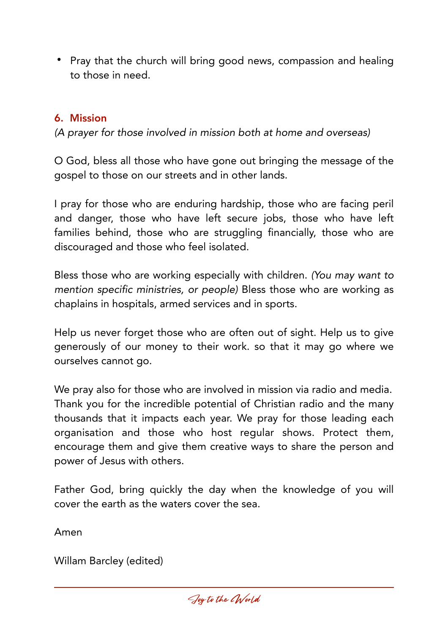• Pray that the church will bring good news, compassion and healing to those in need.

## 6. Mission

*(A prayer for those involved in mission both at home and overseas)* 

O God, bless all those who have gone out bringing the message of the gospel to those on our streets and in other lands.

I pray for those who are enduring hardship, those who are facing peril and danger, those who have left secure jobs, those who have left families behind, those who are struggling financially, those who are discouraged and those who feel isolated.

Bless those who are working especially with children. *(You may want to mention specific ministries, or people)* Bless those who are working as chaplains in hospitals, armed services and in sports.

Help us never forget those who are often out of sight. Help us to give generously of our money to their work. so that it may go where we ourselves cannot go.

We pray also for those who are involved in mission via radio and media. Thank you for the incredible potential of Christian radio and the many thousands that it impacts each year. We pray for those leading each organisation and those who host regular shows. Protect them, encourage them and give them creative ways to share the person and power of Jesus with others.

Father God, bring quickly the day when the knowledge of you will cover the earth as the waters cover the sea.

Amen

Willam Barcley (edited)

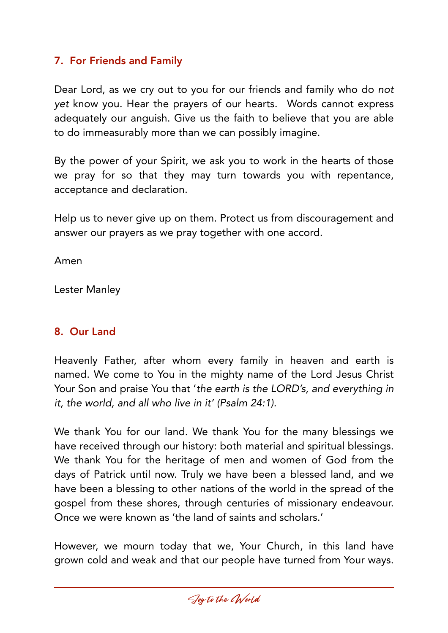## 7. For Friends and Family

Dear Lord, as we cry out to you for our friends and family who do *not yet* know you. Hear the prayers of our hearts. Words cannot express adequately our anguish. Give us the faith to believe that you are able to do immeasurably more than we can possibly imagine.

By the power of your Spirit, we ask you to work in the hearts of those we pray for so that they may turn towards you with repentance, acceptance and declaration.

Help us to never give up on them. Protect us from discouragement and answer our prayers as we pray together with one accord.

Amen

Lester Manley

## 8. Our Land

Heavenly Father, after whom every family in heaven and earth is named. We come to You in the mighty name of the Lord Jesus Christ Your Son and praise You that '*the earth is the LORD's, and everything in it, the world, and all who live in it' (Psalm 24:1).*

We thank You for our land. We thank You for the many blessings we have received through our history: both material and spiritual blessings. We thank You for the heritage of men and women of God from the days of Patrick until now. Truly we have been a blessed land, and we have been a blessing to other nations of the world in the spread of the gospel from these shores, through centuries of missionary endeavour. Once we were known as 'the land of saints and scholars.'

However, we mourn today that we, Your Church, in this land have grown cold and weak and that our people have turned from Your ways.

Joy to the CWorld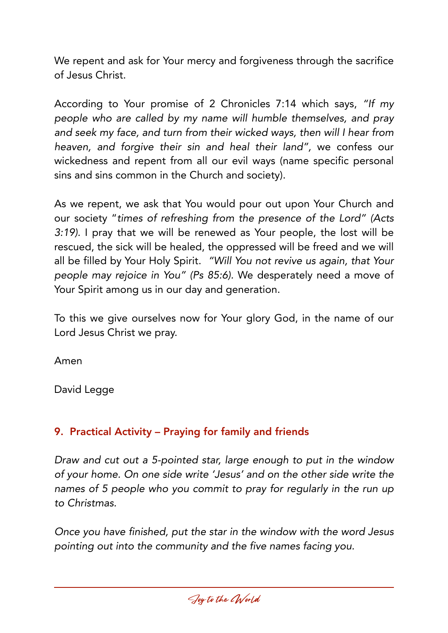We repent and ask for Your mercy and forgiveness through the sacrifice of Jesus Christ.

According to Your promise of 2 Chronicles 7:14 which says, *"If my people who are called by my name will humble themselves, and pray and seek my face, and turn from their wicked ways, then will I hear from heaven, and forgive their sin and heal their land",* we confess our wickedness and repent from all our evil ways (name specific personal sins and sins common in the Church and society).

As we repent, we ask that You would pour out upon Your Church and our society "*times of refreshing from the presence of the Lord" (Acts 3:19).* I pray that we will be renewed as Your people, the lost will be rescued, the sick will be healed, the oppressed will be freed and we will all be filled by Your Holy Spirit. *"Will You not revive us again, that Your people may rejoice in You" (Ps 85:6).* We desperately need a move of Your Spirit among us in our day and generation.

To this we give ourselves now for Your glory God, in the name of our Lord Jesus Christ we pray.

Amen

David Legge

# 9. Practical Activity – Praying for family and friends

*Draw and cut out a 5-pointed star, large enough to put in the window of your home. On one side write 'Jesus' and on the other side write the names of 5 people who you commit to pray for regularly in the run up to Christmas.* 

*Once you have finished, put the star in the window with the word Jesus pointing out into the community and the five names facing you.* 

Joy to the CWorld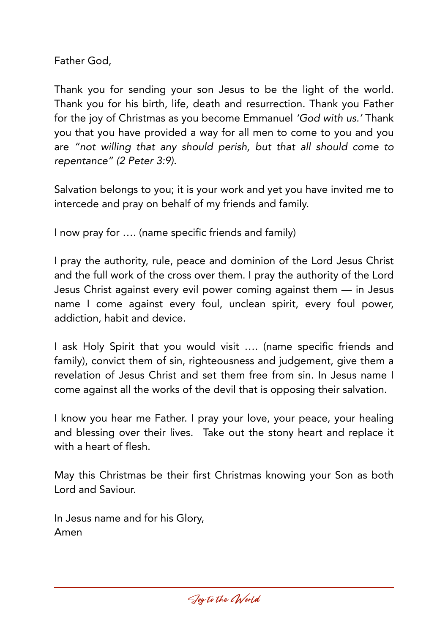Father God,

Thank you for sending your son Jesus to be the light of the world. Thank you for his birth, life, death and resurrection. Thank you Father for the joy of Christmas as you become Emmanuel *'God with us.'* Thank you that you have provided a way for all men to come to you and you are *"not willing that any should perish, but that all should come to repentance" (2 Peter 3:9).* 

Salvation belongs to you; it is your work and yet you have invited me to intercede and pray on behalf of my friends and family.

I now pray for …. (name specific friends and family)

I pray the authority, rule, peace and dominion of the Lord Jesus Christ and the full work of the cross over them. I pray the authority of the Lord Jesus Christ against every evil power coming against them — in Jesus name I come against every foul, unclean spirit, every foul power, addiction, habit and device.

I ask Holy Spirit that you would visit …. (name specific friends and family), convict them of sin, righteousness and judgement, give them a revelation of Jesus Christ and set them free from sin. In Jesus name I come against all the works of the devil that is opposing their salvation.

I know you hear me Father. I pray your love, your peace, your healing and blessing over their lives. Take out the stony heart and replace it with a heart of flesh.

May this Christmas be their first Christmas knowing your Son as both Lord and Saviour.

In Jesus name and for his Glory, Amen

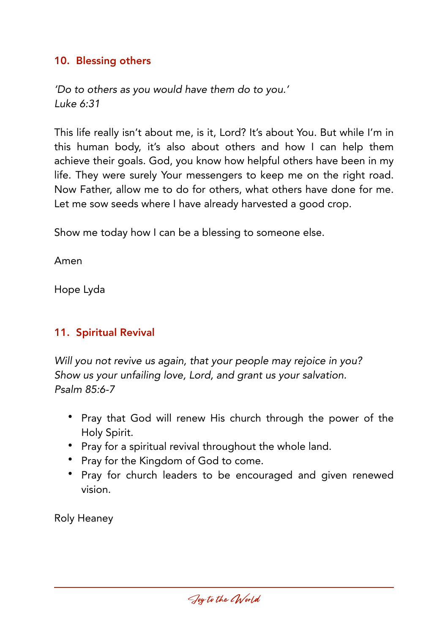#### 10. Blessing others

*'Do to others as you would have them do to you.' Luke 6:31* 

This life really isn't about me, is it, Lord? It's about You. But while I'm in this human body, it's also about others and how I can help them achieve their goals. God, you know how helpful others have been in my life. They were surely Your messengers to keep me on the right road. Now Father, allow me to do for others, what others have done for me. Let me sow seeds where I have already harvested a good crop.

Show me today how I can be a blessing to someone else.

Amen

Hope Lyda

## 11. Spiritual Revival

*Will you not revive us again, that your people may rejoice in you? Show us your unfailing love, Lord, and grant us your salvation. Psalm 85:6-7* 

- Pray that God will renew His church through the power of the Holy Spirit.
- Pray for a spiritual revival throughout the whole land.
- Pray for the Kingdom of God to come.
- Pray for church leaders to be encouraged and given renewed vision.

Roly Heaney

Joy to the CWorld